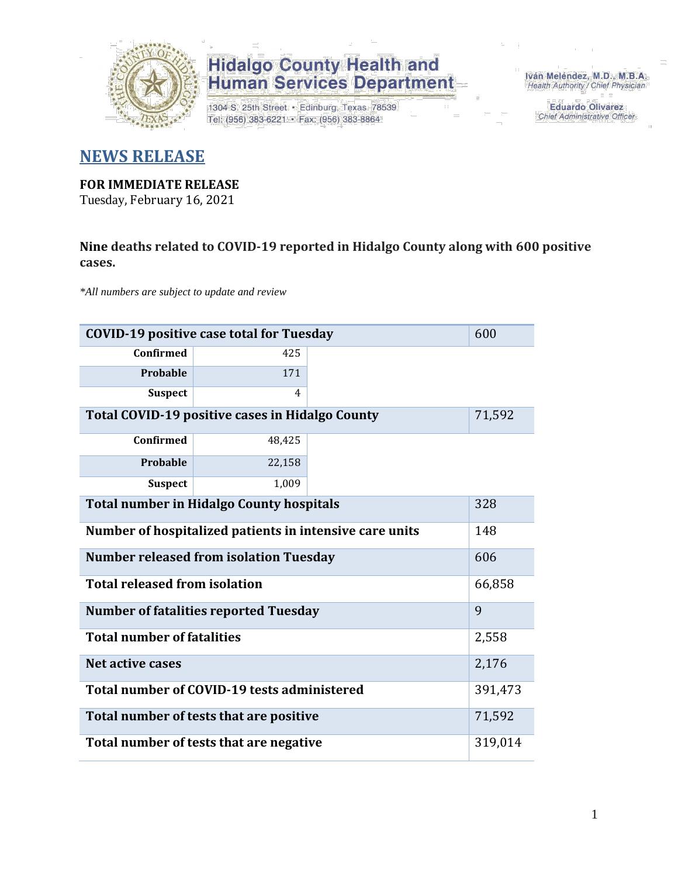

1304 S. 25th Street · Edinburg, Texas 78539 Tel: (956) 383-6221 · Fax: (956) 383-8864

Iván Meléndez, M.D., M.B.A. Health Authority / Chief Physician

> **Eduardo Olivarez** Chief Administrative Officer

#### **NEWS RELEASE**

#### **FOR IMMEDIATE RELEASE**

Tuesday, February 16, 2021

#### **Nine deaths related to COVID-19 reported in Hidalgo County along with 600 positive cases.**

*\*All numbers are subject to update and review*

| 600<br><b>COVID-19 positive case total for Tuesday</b>         |                                               |  |         |  |  |  |  |  |
|----------------------------------------------------------------|-----------------------------------------------|--|---------|--|--|--|--|--|
| <b>Confirmed</b>                                               | 425                                           |  |         |  |  |  |  |  |
| Probable                                                       | 171                                           |  |         |  |  |  |  |  |
| <b>Suspect</b>                                                 | 4                                             |  |         |  |  |  |  |  |
| Total COVID-19 positive cases in Hidalgo County<br>71,592      |                                               |  |         |  |  |  |  |  |
| <b>Confirmed</b>                                               |                                               |  |         |  |  |  |  |  |
| Probable                                                       | 22,158                                        |  |         |  |  |  |  |  |
| <b>Suspect</b>                                                 | 1,009                                         |  |         |  |  |  |  |  |
| <b>Total number in Hidalgo County hospitals</b><br>328         |                                               |  |         |  |  |  |  |  |
| Number of hospitalized patients in intensive care units<br>148 |                                               |  |         |  |  |  |  |  |
|                                                                | <b>Number released from isolation Tuesday</b> |  | 606     |  |  |  |  |  |
| <b>Total released from isolation</b>                           |                                               |  | 66,858  |  |  |  |  |  |
|                                                                | <b>Number of fatalities reported Tuesday</b>  |  | 9       |  |  |  |  |  |
| <b>Total number of fatalities</b>                              |                                               |  | 2,558   |  |  |  |  |  |
| Net active cases                                               |                                               |  | 2,176   |  |  |  |  |  |
|                                                                | Total number of COVID-19 tests administered   |  | 391,473 |  |  |  |  |  |
|                                                                | Total number of tests that are positive       |  | 71,592  |  |  |  |  |  |
| Total number of tests that are negative                        |                                               |  |         |  |  |  |  |  |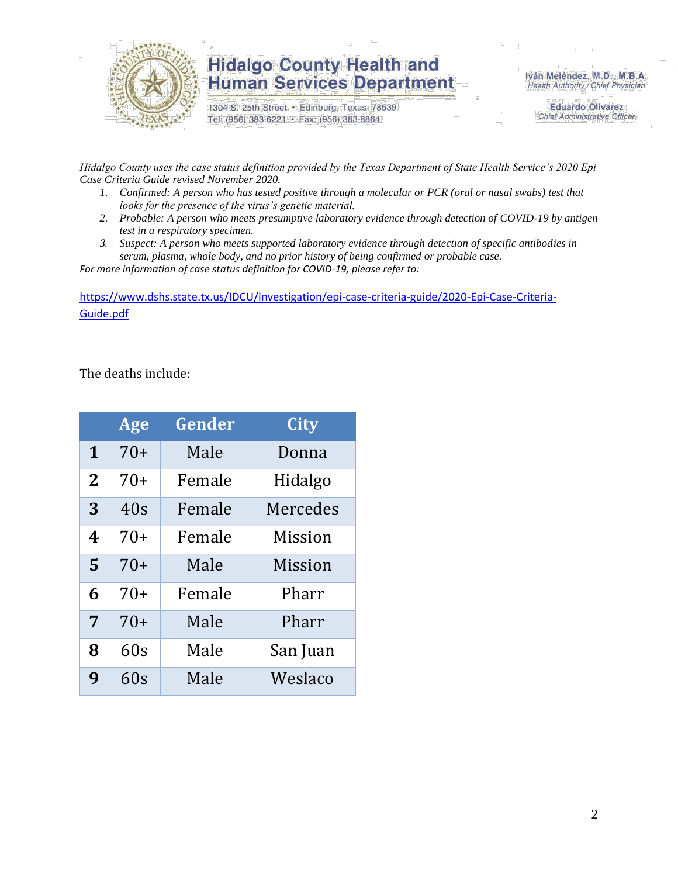

1304 S. 25th Street · Edinburg, Texas 78539 Tel: (956) 383-6221 · Fax: (956) 383-8864

Iván Meléndez, M.D., M.B.A. Health Authority / Chief Physician

> **Eduardo Olivarez** Chief Administrative Officer

*Hidalgo County uses the case status definition provided by the Texas Department of State Health Service's 2020 Epi Case Criteria Guide revised November 2020.*

- *1. Confirmed: A person who has tested positive through a molecular or PCR (oral or nasal swabs) test that looks for the presence of the virus's genetic material.*
- *2. Probable: A person who meets presumptive laboratory evidence through detection of COVID-19 by antigen test in a respiratory specimen.*
- *3. Suspect: A person who meets supported laboratory evidence through detection of specific antibodies in serum, plasma, whole body, and no prior history of being confirmed or probable case.*

*For more information of case status definition for COVID-19, please refer to:*

[https://www.dshs.state.tx.us/IDCU/investigation/epi-case-criteria-guide/2020-Epi-Case-Criteria-](https://www.dshs.state.tx.us/IDCU/investigation/epi-case-criteria-guide/2020-Epi-Case-Criteria-Guide.pdf)[Guide.pdf](https://www.dshs.state.tx.us/IDCU/investigation/epi-case-criteria-guide/2020-Epi-Case-Criteria-Guide.pdf)

The deaths include:

|              | <b>Age</b> | Gender | <b>City</b> |
|--------------|------------|--------|-------------|
| $\mathbf{1}$ | $70+$      | Male   | Donna       |
| 2            | $70+$      | Female | Hidalgo     |
| 3            | 40s        | Female | Mercedes    |
| 4            | $70+$      | Female | Mission     |
| 5            | $70+$      | Male   | Mission     |
| 6            | $70+$      | Female | Pharr       |
| 7            | $70+$      | Male   | Pharr       |
| 8            | 60s        | Male   | San Juan    |
| 9            | 60s        | Male   | Weslaco     |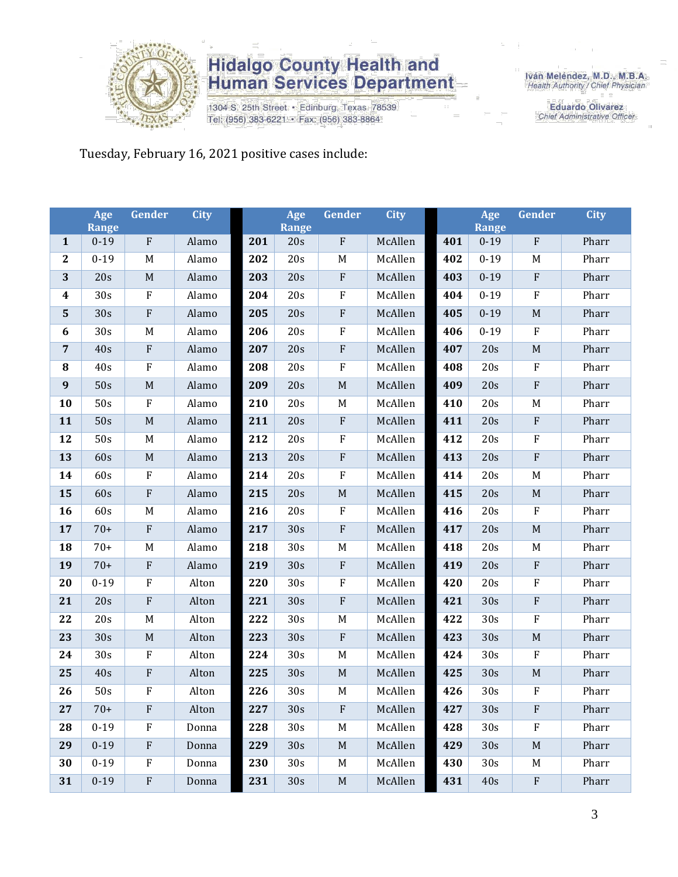

1304 S. 25th Street · Edinburg, Texas 78539 Tel: (956) 383-6221 · Fax: (956) 383-8864

Iván Meléndez, M.D., M.B.A.<br>Health Authority / Chief Physician

**Eduardo Olivarez** Chief Administrative Officer

Tuesday, February 16, 2021 positive cases include:

|                  | Age<br><b>Range</b> | Gender                    | <b>City</b> |     | Age<br><b>Range</b> | <b>Gender</b> | <b>City</b> |     | Age<br><b>Range</b> | Gender       | <b>City</b> |
|------------------|---------------------|---------------------------|-------------|-----|---------------------|---------------|-------------|-----|---------------------|--------------|-------------|
| $\mathbf{1}$     | $0 - 19$            | ${\bf F}$                 | Alamo       | 201 | 20s                 | $\rm F$       | McAllen     | 401 | $0 - 19$            | $\rm F$      | Pharr       |
| $\boldsymbol{2}$ | $0 - 19$            | M                         | Alamo       | 202 | 20s                 | M             | McAllen     | 402 | $0 - 19$            | M            | Pharr       |
| 3                | 20s                 | $\mathbf M$               | Alamo       | 203 | 20s                 | ${\bf F}$     | McAllen     | 403 | $0 - 19$            | ${\bf F}$    | Pharr       |
| $\boldsymbol{4}$ | 30s                 | ${\bf F}$                 | Alamo       | 204 | 20s                 | $\rm F$       | McAllen     | 404 | $0 - 19$            | $\rm F$      | Pharr       |
| $\mathbf{5}$     | 30s                 | ${\bf F}$                 | Alamo       | 205 | 20s                 | $\rm F$       | McAllen     | 405 | $0 - 19$            | $\mathbf M$  | Pharr       |
| 6                | 30s                 | M                         | Alamo       | 206 | 20s                 | $\rm F$       | McAllen     | 406 | $0 - 19$            | $\mathbf F$  | Pharr       |
| $\overline{7}$   | 40s                 | ${\bf F}$                 | Alamo       | 207 | 20s                 | $\rm F$       | McAllen     | 407 | 20s                 | $\mathbf M$  | Pharr       |
| ${\bf 8}$        | 40s                 | ${\bf F}$                 | Alamo       | 208 | 20s                 | $\rm F$       | McAllen     | 408 | 20s                 | $\rm F$      | Pharr       |
| 9                | 50s                 | $\mathbf M$               | Alamo       | 209 | 20s                 | $\mathbf M$   | McAllen     | 409 | 20s                 | ${\bf F}$    | Pharr       |
| 10               | 50s                 | ${\bf F}$                 | Alamo       | 210 | 20s                 | $\mathbf M$   | McAllen     | 410 | 20s                 | M            | Pharr       |
| 11               | 50s                 | $\mathbf M$               | Alamo       | 211 | 20s                 | $\rm F$       | McAllen     | 411 | 20s                 | $\rm F$      | Pharr       |
| 12               | 50s                 | M                         | Alamo       | 212 | 20s                 | $\rm F$       | McAllen     | 412 | 20s                 | $\rm F$      | Pharr       |
| 13               | 60s                 | $\mathbf M$               | Alamo       | 213 | 20s                 | $\rm F$       | McAllen     | 413 | 20s                 | ${\bf F}$    | Pharr       |
| 14               | 60s                 | $\rm F$                   | Alamo       | 214 | 20s                 | $\rm F$       | McAllen     | 414 | 20s                 | M            | Pharr       |
| 15               | 60s                 | ${\bf F}$                 | Alamo       | 215 | 20s                 | $\mathbf M$   | McAllen     | 415 | 20s                 | $\mathbf M$  | Pharr       |
| 16               | 60s                 | M                         | Alamo       | 216 | 20s                 | $\rm F$       | McAllen     | 416 | 20s                 | $\rm F$      | Pharr       |
| 17               | $70+$               | ${\bf F}$                 | Alamo       | 217 | 30s                 | $\rm F$       | McAllen     | 417 | 20s                 | $\mathbf M$  | Pharr       |
| 18               | $70+$               | M                         | Alamo       | 218 | 30s                 | $\mathbf M$   | McAllen     | 418 | 20s                 | M            | Pharr       |
| 19               | $70+$               | ${\bf F}$                 | Alamo       | 219 | 30s                 | $\rm F$       | McAllen     | 419 | 20s                 | $\rm F$      | Pharr       |
| 20               | $0 - 19$            | ${\bf F}$                 | Alton       | 220 | 30s                 | $\rm F$       | McAllen     | 420 | 20s                 | $\rm F$      | Pharr       |
| 21               | 20s                 | ${\bf F}$                 | Alton       | 221 | 30s                 | ${\bf F}$     | McAllen     | 421 | 30s                 | $\rm F$      | Pharr       |
| 22               | 20s                 | M                         | Alton       | 222 | 30s                 | M             | McAllen     | 422 | 30s                 | $\rm F$      | Pharr       |
| 23               | 30s                 | M                         | Alton       | 223 | 30s                 | $\rm F$       | McAllen     | 423 | 30s                 | $\mathbf M$  | Pharr       |
| 24               | 30s                 | ${\bf F}$                 | Alton       | 224 | 30s                 | M             | McAllen     | 424 | 30s                 | $\rm F$      | Pharr       |
| 25               | 40s                 | ${\bf F}$                 | Alton       | 225 | 30s                 | $\mathbf M$   | McAllen     | 425 | 30s                 | $\mathbf M$  | Pharr       |
| 26               | 50s                 | ${\bf F}$                 | Alton       | 226 | 30s                 | M             | McAllen     | 426 | 30s                 | $\rm F$      | Pharr       |
| 27               | $70+$               | F                         | Alton       | 227 | 30s                 | F             | McAllen     | 427 | 30s                 | $\mathbf{F}$ | Pharr       |
| 28               | $0 - 19$            | $\rm F$                   | Donna       | 228 | 30s                 | M             | McAllen     | 428 | 30s                 | F            | Pharr       |
| 29               | $0 - 19$            | $\boldsymbol{\mathrm{F}}$ | Donna       | 229 | 30s                 | $M_{\odot}$   | McAllen     | 429 | 30s                 | M            | Pharr       |
| 30               | $0-19$              | $\rm F$                   | Donna       | 230 | 30s                 | M             | McAllen     | 430 | 30s                 | M            | Pharr       |
| 31               | $0 - 19$            | ${\bf F}$                 | Donna       | 231 | 30s                 | $\mathbf M$   | McAllen     | 431 | 40s                 | $\mathbf F$  | Pharr       |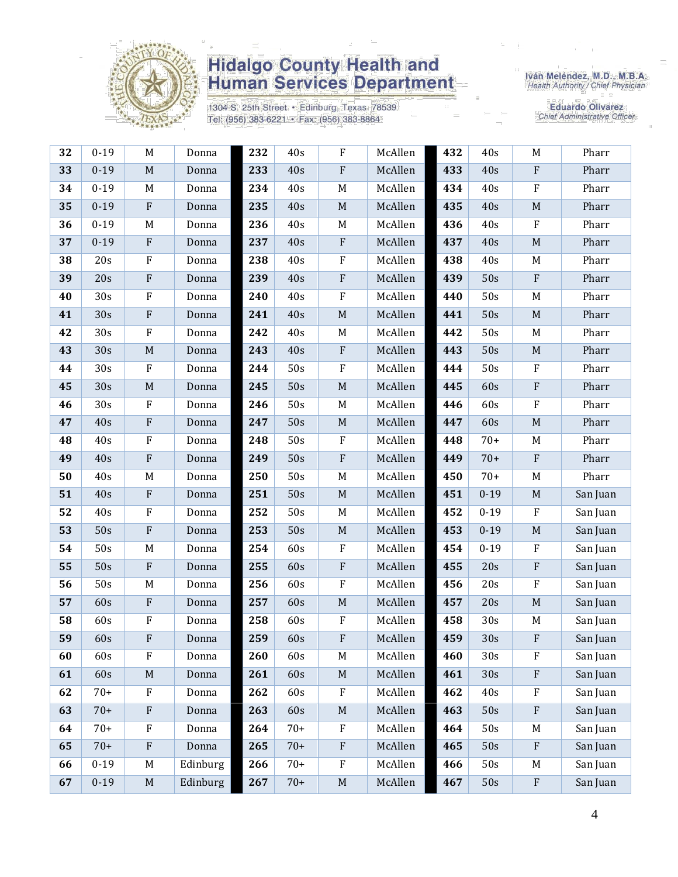

1304 S. 25th Street · Edinburg, Texas 78539 Tel: (956) 383-6221 · Fax: (956) 383-8864

Iván Meléndez, M.D., M.B.A.<br>Health Authority / Chief Physician

**Eduardo Olivarez** Chief Administrative Officer

| 32 | $0 - 19$ | $\mathbf M$               | Donna    | 232 | 40s   | $\rm F$     | McAllen | 432 | 40s      | M                         | Pharr    |
|----|----------|---------------------------|----------|-----|-------|-------------|---------|-----|----------|---------------------------|----------|
| 33 | $0 - 19$ | $\mathbf M$               | Donna    | 233 | 40s   | ${\bf F}$   | McAllen | 433 | 40s      | $\rm F$                   | Pharr    |
| 34 | $0 - 19$ | M                         | Donna    | 234 | 40s   | $\mathbf M$ | McAllen | 434 | 40s      | $\rm F$                   | Pharr    |
| 35 | $0 - 19$ | $\rm F$                   | Donna    | 235 | 40s   | $\mathbf M$ | McAllen | 435 | 40s      | $\mathbf M$               | Pharr    |
| 36 | $0 - 19$ | M                         | Donna    | 236 | 40s   | $\mathbf M$ | McAllen | 436 | 40s      | $\rm F$                   | Pharr    |
| 37 | $0 - 19$ | ${\bf F}$                 | Donna    | 237 | 40s   | ${\bf F}$   | McAllen | 437 | 40s      | $\mathbf M$               | Pharr    |
| 38 | 20s      | $\rm F$                   | Donna    | 238 | 40s   | F           | McAllen | 438 | 40s      | M                         | Pharr    |
| 39 | 20s      | $\rm F$                   | Donna    | 239 | 40s   | ${\bf F}$   | McAllen | 439 | 50s      | $\boldsymbol{\mathrm{F}}$ | Pharr    |
| 40 | 30s      | ${\bf F}$                 | Donna    | 240 | 40s   | ${\bf F}$   | McAllen | 440 | 50s      | M                         | Pharr    |
| 41 | 30s      | $\rm F$                   | Donna    | 241 | 40s   | $\mathbf M$ | McAllen | 441 | 50s      | $M_{\odot}$               | Pharr    |
| 42 | 30s      | ${\bf F}$                 | Donna    | 242 | 40s   | M           | McAllen | 442 | 50s      | M                         | Pharr    |
| 43 | 30s      | $\mathbf M$               | Donna    | 243 | 40s   | $\rm F$     | McAllen | 443 | 50s      | $\mathbf M$               | Pharr    |
| 44 | 30s      | $\rm F$                   | Donna    | 244 | 50s   | ${\bf F}$   | McAllen | 444 | 50s      | $\mathbf{F}$              | Pharr    |
| 45 | 30s      | $\mathbf M$               | Donna    | 245 | 50s   | $\mathbf M$ | McAllen | 445 | 60s      | $\rm F$                   | Pharr    |
| 46 | 30s      | $\rm F$                   | Donna    | 246 | 50s   | $\mathbf M$ | McAllen | 446 | 60s      | $\rm F$                   | Pharr    |
| 47 | 40s      | $\rm F$                   | Donna    | 247 | 50s   | $\mathbf M$ | McAllen | 447 | 60s      | $\mathbf M$               | Pharr    |
| 48 | 40s      | $\rm F$                   | Donna    | 248 | 50s   | ${\bf F}$   | McAllen | 448 | $70+$    | M                         | Pharr    |
| 49 | 40s      | $\rm F$                   | Donna    | 249 | 50s   | $\rm F$     | McAllen | 449 | $70+$    | $\mathbf{F}$              | Pharr    |
| 50 | 40s      | M                         | Donna    | 250 | 50s   | $\mathbf M$ | McAllen | 450 | $70+$    | M                         | Pharr    |
| 51 | 40s      | $\rm F$                   | Donna    | 251 | 50s   | $\mathbf M$ | McAllen | 451 | $0 - 19$ | $\mathbf M$               | San Juan |
| 52 | 40s      | $\rm F$                   | Donna    | 252 | 50s   | M           | McAllen | 452 | $0 - 19$ | $\mathbf{F}$              | San Juan |
| 53 | 50s      | $\rm F$                   | Donna    | 253 | 50s   | $\mathbf M$ | McAllen | 453 | $0 - 19$ | $\mathbf M$               | San Juan |
| 54 | 50s      | M                         | Donna    | 254 | 60s   | $\rm F$     | McAllen | 454 | $0 - 19$ | $\rm F$                   | San Juan |
| 55 | 50s      | $\boldsymbol{\mathrm{F}}$ | Donna    | 255 | 60s   | $\rm F$     | McAllen | 455 | 20s      | $\rm F$                   | San Juan |
| 56 | 50s      | M                         | Donna    | 256 | 60s   | ${\bf F}$   | McAllen | 456 | 20s      | $\rm F$                   | San Juan |
| 57 | 60s      | ${\bf F}$                 | Donna    | 257 | 60s   | $\mathbf M$ | McAllen | 457 | 20s      | $\mathbf M$               | San Juan |
| 58 | 60s      | $\rm F$                   | Donna    | 258 | 60s   | F           | McAllen | 458 | 30s      | M                         | San Juan |
| 59 | 60s      | ${\bf F}$                 | Donna    | 259 | 60s   | F           | McAllen | 459 | 30s      | $\boldsymbol{\mathrm{F}}$ | San Juan |
| 60 | 60s      | F                         | Donna    | 260 | 60s   | M           | McAllen | 460 | 30s      | $_{\rm F}$                | San Juan |
| 61 | 60s      | $\mathbf M$               | Donna    | 261 | 60s   | $\mathbf M$ | McAllen | 461 | 30s      | $\rm F$                   | San Juan |
| 62 | $70+$    | F                         | Donna    | 262 | 60s   | $\mathbf F$ | McAllen | 462 | 40s      | $\mathbf F$               | San Juan |
| 63 | $70+$    | $\boldsymbol{\mathrm{F}}$ | Donna    | 263 | 60s   | $\mathbf M$ | McAllen | 463 | 50s      | $\rm F$                   | San Juan |
| 64 | $70+$    | $\rm F$                   | Donna    | 264 | $70+$ | ${\bf F}$   | McAllen | 464 | 50s      | M                         | San Juan |
| 65 | $70+$    | $\boldsymbol{\mathrm{F}}$ | Donna    | 265 | $70+$ | $\rm F$     | McAllen | 465 | 50s      | $\mathbf{F}$              | San Juan |
| 66 | $0 - 19$ | M                         | Edinburg | 266 | $70+$ | ${\bf F}$   | McAllen | 466 | 50s      | M                         | San Juan |
| 67 | $0 - 19$ | $\mathbf M$               | Edinburg | 267 | $70+$ | $\mathbf M$ | McAllen | 467 | 50s      | $\rm F$                   | San Juan |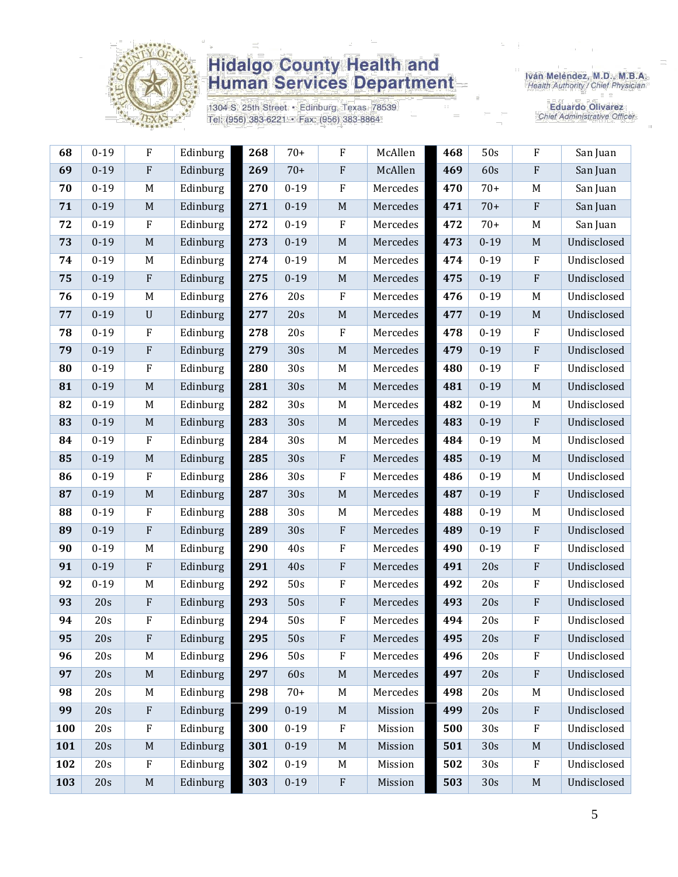

1304 S. 25th Street · Edinburg, Texas 78539 Tel: (956) 383-6221 · Fax: (956) 383-8864

Iván Meléndez, M.D., M.B.A.<br>Health Authority / Chief Physician

Eduardo Olivarez<br>Chief Administrative Officer

| 68  | $0 - 19$ | $\mathbf F$ | Edinburg | 268 | $70+$    | $\mathbf F$      | McAllen  | 468 | 50s      | F                         | San Juan    |
|-----|----------|-------------|----------|-----|----------|------------------|----------|-----|----------|---------------------------|-------------|
| 69  | $0 - 19$ | $\rm F$     | Edinburg | 269 | $70+$    | $\rm F$          | McAllen  | 469 | 60s      | ${\bf F}$                 | San Juan    |
| 70  | $0 - 19$ | M           | Edinburg | 270 | $0 - 19$ | $\rm F$          | Mercedes | 470 | $70+$    | M                         | San Juan    |
| 71  | $0 - 19$ | $\mathbf M$ | Edinburg | 271 | $0 - 19$ | $\mathbf M$      | Mercedes | 471 | $70+$    | $\rm F$                   | San Juan    |
| 72  | $0 - 19$ | $\rm F$     | Edinburg | 272 | $0 - 19$ | $\rm F$          | Mercedes | 472 | $70+$    | M                         | San Juan    |
| 73  | $0 - 19$ | M           | Edinburg | 273 | $0 - 19$ | $\mathbf M$      | Mercedes | 473 | $0 - 19$ | $\mathbf M$               | Undisclosed |
| 74  | $0 - 19$ | M           | Edinburg | 274 | $0 - 19$ | $\mathbf M$      | Mercedes | 474 | $0 - 19$ | ${\bf F}$                 | Undisclosed |
| 75  | $0 - 19$ | ${\bf F}$   | Edinburg | 275 | $0 - 19$ | $\mathbf M$      | Mercedes | 475 | $0 - 19$ | ${\bf F}$                 | Undisclosed |
| 76  | $0 - 19$ | M           | Edinburg | 276 | 20s      | $\rm F$          | Mercedes | 476 | $0 - 19$ | M                         | Undisclosed |
| 77  | $0 - 19$ | $\mathbf U$ | Edinburg | 277 | 20s      | $\mathbf M$      | Mercedes | 477 | $0 - 19$ | $\mathbf M$               | Undisclosed |
| 78  | $0 - 19$ | $\rm F$     | Edinburg | 278 | 20s      | $\rm F$          | Mercedes | 478 | $0 - 19$ | ${\bf F}$                 | Undisclosed |
| 79  | $0 - 19$ | $\rm F$     | Edinburg | 279 | 30s      | $\mathbf M$      | Mercedes | 479 | $0 - 19$ | ${\bf F}$                 | Undisclosed |
| 80  | $0 - 19$ | $\rm F$     | Edinburg | 280 | 30s      | $M_{\odot}$      | Mercedes | 480 | $0 - 19$ | $\rm F$                   | Undisclosed |
| 81  | $0 - 19$ | $\mathbf M$ | Edinburg | 281 | 30s      | $\mathbf M$      | Mercedes | 481 | $0 - 19$ | $\mathbf M$               | Undisclosed |
| 82  | $0 - 19$ | M           | Edinburg | 282 | 30s      | $M_{\odot}$      | Mercedes | 482 | $0 - 19$ | M                         | Undisclosed |
| 83  | $0 - 19$ | $\mathbf M$ | Edinburg | 283 | 30s      | $\mathbf M$      | Mercedes | 483 | $0 - 19$ | $\rm F$                   | Undisclosed |
| 84  | $0 - 19$ | $\rm F$     | Edinburg | 284 | 30s      | $\mathbf M$      | Mercedes | 484 | $0 - 19$ | M                         | Undisclosed |
| 85  | $0 - 19$ | $\mathbf M$ | Edinburg | 285 | 30s      | $\rm F$          | Mercedes | 485 | $0 - 19$ | $\mathbf M$               | Undisclosed |
| 86  | $0 - 19$ | $\rm F$     | Edinburg | 286 | 30s      | $\rm F$          | Mercedes | 486 | $0 - 19$ | M                         | Undisclosed |
| 87  | $0 - 19$ | $\mathbf M$ | Edinburg | 287 | 30s      | $\mathbf M$      | Mercedes | 487 | $0 - 19$ | ${\bf F}$                 | Undisclosed |
| 88  | $0 - 19$ | $\rm F$     | Edinburg | 288 | 30s      | $\mathbf M$      | Mercedes | 488 | $0 - 19$ | M                         | Undisclosed |
| 89  | $0 - 19$ | $\rm F$     | Edinburg | 289 | 30s      | $\rm F$          | Mercedes | 489 | $0 - 19$ | ${\bf F}$                 | Undisclosed |
| 90  | $0 - 19$ | M           | Edinburg | 290 | 40s      | $\boldsymbol{F}$ | Mercedes | 490 | $0 - 19$ | ${\bf F}$                 | Undisclosed |
| 91  | $0 - 19$ | ${\bf F}$   | Edinburg | 291 | 40s      | $\rm F$          | Mercedes | 491 | 20s      | ${\bf F}$                 | Undisclosed |
| 92  | $0 - 19$ | M           | Edinburg | 292 | 50s      | $\rm F$          | Mercedes | 492 | 20s      | ${\bf F}$                 | Undisclosed |
| 93  | 20s      | $\rm F$     | Edinburg | 293 | 50s      | $\rm F$          | Mercedes | 493 | 20s      | ${\bf F}$                 | Undisclosed |
| 94  | 20s      | $\rm F$     | Edinburg | 294 | 50s      | $\rm F$          | Mercedes | 494 | 20s      | ${\bf F}$                 | Undisclosed |
| 95  | 20s      | $\rm F$     | Edinburg | 295 | 50s      | ${\bf F}$        | Mercedes | 495 | 20s      | $\rm F$                   | Undisclosed |
| 96  | 20s      | M           | Edinburg | 296 | 50s      | $\boldsymbol{F}$ | Mercedes | 496 | 20s      | F                         | Undisclosed |
| 97  | 20s      | M           | Edinburg | 297 | 60s      | $\mathbf M$      | Mercedes | 497 | 20s      | ${\bf F}$                 | Undisclosed |
| 98  | 20s      | M           | Edinburg | 298 | $70+$    | $\mathbf M$      | Mercedes | 498 | 20s      | M                         | Undisclosed |
| 99  | 20s      | $\rm F$     | Edinburg | 299 | $0 - 19$ | $\mathbf M$      | Mission  | 499 | 20s      | ${\bf F}$                 | Undisclosed |
| 100 | 20s      | $\rm F$     | Edinburg | 300 | $0 - 19$ | $\rm F$          | Mission  | 500 | 30s      | F                         | Undisclosed |
| 101 | 20s      | $\mathbf M$ | Edinburg | 301 | $0 - 19$ | $\mathbf M$      | Mission  | 501 | 30s      | $\mathbf M$               | Undisclosed |
| 102 | 20s      | ${\bf F}$   | Edinburg | 302 | $0 - 19$ | $M_{\odot}$      | Mission  | 502 | 30s      | $\boldsymbol{\mathrm{F}}$ | Undisclosed |
| 103 | 20s      | $\mathbf M$ | Edinburg | 303 | $0 - 19$ | $\rm F$          | Mission  | 503 | 30s      | $\mathbf M$               | Undisclosed |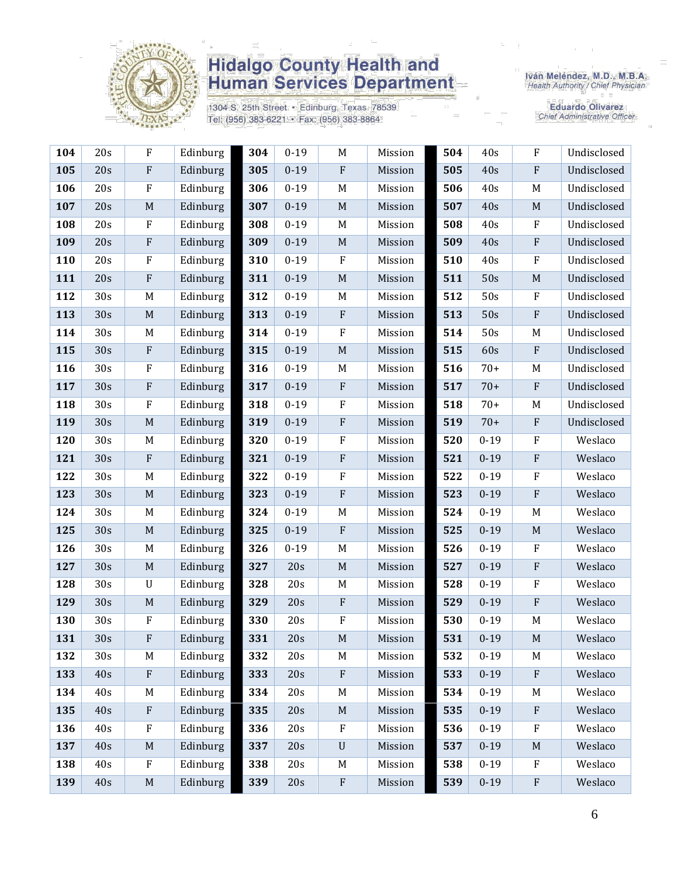

1304 S. 25th Street · Edinburg, Texas 78539 Tel: (956) 383-6221 · Fax: (956) 383-8864

Iván Meléndez, M.D., M.B.A.<br>Health Authority / Chief Physician

**Eduardo Olivarez** Chief Administrative Officer

| 104 | 20s | $\rm F$                   | Edinburg | 304 | $0 - 19$ | $M_{\odot}$               | Mission | 504 | 40s      | $\rm F$                   | Undisclosed |
|-----|-----|---------------------------|----------|-----|----------|---------------------------|---------|-----|----------|---------------------------|-------------|
| 105 | 20s | ${\bf F}$                 | Edinburg | 305 | $0 - 19$ | $\rm F$                   | Mission | 505 | 40s      | ${\bf F}$                 | Undisclosed |
| 106 | 20s | $\rm F$                   | Edinburg | 306 | $0 - 19$ | M                         | Mission | 506 | 40s      | M                         | Undisclosed |
| 107 | 20s | $\mathbf M$               | Edinburg | 307 | $0 - 19$ | $\mathbf M$               | Mission | 507 | 40s      | $\mathbf M$               | Undisclosed |
| 108 | 20s | $\rm F$                   | Edinburg | 308 | $0 - 19$ | $M_{\odot}$               | Mission | 508 | 40s      | $\mathbf{F}$              | Undisclosed |
| 109 | 20s | $\rm F$                   | Edinburg | 309 | $0 - 19$ | M                         | Mission | 509 | 40s      | ${\bf F}$                 | Undisclosed |
| 110 | 20s | $\rm F$                   | Edinburg | 310 | $0 - 19$ | $\rm F$                   | Mission | 510 | 40s      | ${\bf F}$                 | Undisclosed |
| 111 | 20s | ${\bf F}$                 | Edinburg | 311 | $0 - 19$ | $\mathbf M$               | Mission | 511 | 50s      | M                         | Undisclosed |
| 112 | 30s | M                         | Edinburg | 312 | $0 - 19$ | M                         | Mission | 512 | 50s      | ${\bf F}$                 | Undisclosed |
| 113 | 30s | $\mathbf M$               | Edinburg | 313 | $0 - 19$ | $\boldsymbol{\mathrm{F}}$ | Mission | 513 | 50s      | ${\bf F}$                 | Undisclosed |
| 114 | 30s | M                         | Edinburg | 314 | $0 - 19$ | $\rm F$                   | Mission | 514 | 50s      | M                         | Undisclosed |
| 115 | 30s | $\boldsymbol{\mathrm{F}}$ | Edinburg | 315 | $0 - 19$ | $\mathbf M$               | Mission | 515 | 60s      | ${\bf F}$                 | Undisclosed |
| 116 | 30s | $\mathbf F$               | Edinburg | 316 | $0 - 19$ | M                         | Mission | 516 | $70+$    | M                         | Undisclosed |
| 117 | 30s | $\rm F$                   | Edinburg | 317 | $0 - 19$ | $\rm F$                   | Mission | 517 | $70+$    | ${\bf F}$                 | Undisclosed |
| 118 | 30s | $\rm F$                   | Edinburg | 318 | $0 - 19$ | $\rm F$                   | Mission | 518 | $70+$    | M                         | Undisclosed |
| 119 | 30s | $\mathbf M$               | Edinburg | 319 | $0 - 19$ | $\rm F$                   | Mission | 519 | $70+$    | $\rm F$                   | Undisclosed |
| 120 | 30s | M                         | Edinburg | 320 | $0 - 19$ | $\boldsymbol{F}$          | Mission | 520 | $0 - 19$ | ${\bf F}$                 | Weslaco     |
| 121 | 30s | $\overline{F}$            | Edinburg | 321 | $0 - 19$ | $\rm F$                   | Mission | 521 | $0 - 19$ | ${\bf F}$                 | Weslaco     |
| 122 | 30s | M                         | Edinburg | 322 | $0 - 19$ | $\rm F$                   | Mission | 522 | $0 - 19$ | ${\bf F}$                 | Weslaco     |
| 123 | 30s | $\mathbf M$               | Edinburg | 323 | $0 - 19$ | $\rm F$                   | Mission | 523 | $0 - 19$ | ${\bf F}$                 | Weslaco     |
| 124 | 30s | M                         | Edinburg | 324 | $0 - 19$ | M                         | Mission | 524 | $0 - 19$ | M                         | Weslaco     |
| 125 | 30s | $\mathbf M$               | Edinburg | 325 | $0 - 19$ | $\rm F$                   | Mission | 525 | $0 - 19$ | $\mathbf M$               | Weslaco     |
| 126 | 30s | $\mathbf M$               | Edinburg | 326 | $0 - 19$ | $\mathbf M$               | Mission | 526 | $0 - 19$ | $\rm F$                   | Weslaco     |
| 127 | 30s | M                         | Edinburg | 327 | 20s      | $\mathbf M$               | Mission | 527 | $0 - 19$ | ${\bf F}$                 | Weslaco     |
| 128 | 30s | $\mathbf U$               | Edinburg | 328 | 20s      | M                         | Mission | 528 | $0 - 19$ | $\rm F$                   | Weslaco     |
| 129 | 30s | $\mathbf M$               | Edinburg | 329 | 20s      | $\rm F$                   | Mission | 529 | $0 - 19$ | ${\bf F}$                 | Weslaco     |
| 130 | 30s | F                         | Edinburg | 330 | 20s      | $\rm F$                   | Mission | 530 | $0 - 19$ | M                         | Weslaco     |
| 131 | 30s | ${\bf F}$                 | Edinburg | 331 | 20s      | $\mathbf M$               | Mission | 531 | $0 - 19$ | $\mathbf M$               | Weslaco     |
| 132 | 30s | M                         | Edinburg | 332 | 20s      | M                         | Mission | 532 | $0 - 19$ | M                         | Weslaco     |
| 133 | 40s | $\boldsymbol{\mathrm{F}}$ | Edinburg | 333 | 20s      | $\rm F$                   | Mission | 533 | $0 - 19$ | ${\bf F}$                 | Weslaco     |
| 134 | 40s | M                         | Edinburg | 334 | 20s      | $M_{\odot}$               | Mission | 534 | $0 - 19$ | M                         | Weslaco     |
| 135 | 40s | ${\bf F}$                 | Edinburg | 335 | 20s      | $\mathbf M$               | Mission | 535 | $0 - 19$ | $\mathbf{F}$              | Weslaco     |
| 136 | 40s | ${\bf F}$                 | Edinburg | 336 | 20s      | $\rm F$                   | Mission | 536 | $0 - 19$ | $\boldsymbol{\mathrm{F}}$ | Weslaco     |
| 137 | 40s | $\mathbf M$               | Edinburg | 337 | 20s      | $\mathbf U$               | Mission | 537 | $0 - 19$ | $\mathbf M$               | Weslaco     |
| 138 | 40s | $\rm F$                   | Edinburg | 338 | 20s      | $M_{\odot}$               | Mission | 538 | $0 - 19$ | $\boldsymbol{\mathrm{F}}$ | Weslaco     |
| 139 | 40s | $\mathbf M$               | Edinburg | 339 | 20s      | $\rm F$                   | Mission | 539 | $0 - 19$ | ${\bf F}$                 | Weslaco     |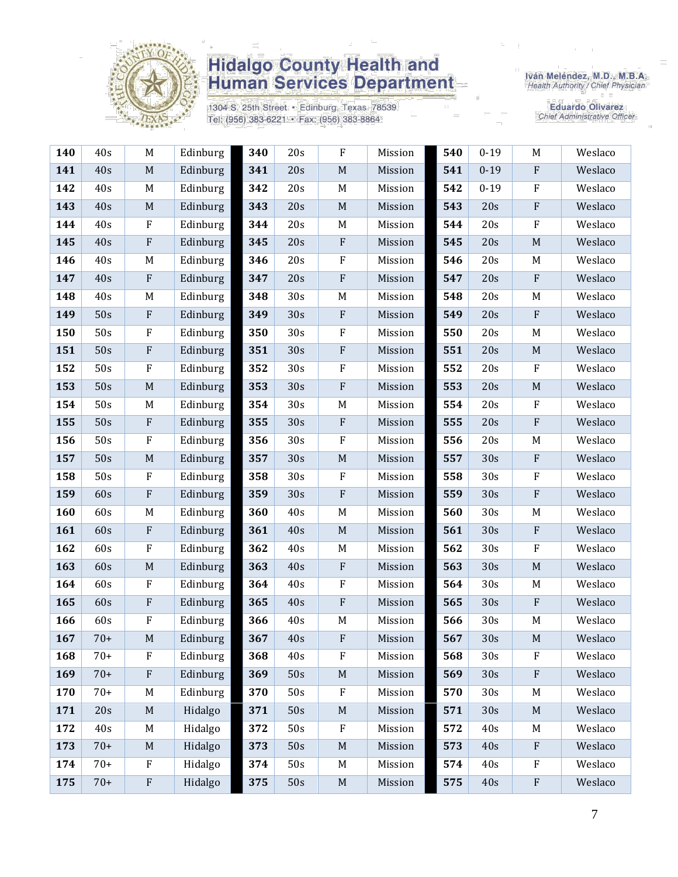

1304 S. 25th Street · Edinburg, Texas 78539 Tel: (956) 383-6221 · Fax: (956) 383-8864

Iván Meléndez, M.D., M.B.A.<br>Health Authority / Chief Physician

Eduardo Olivarez<br>Chief Administrative Officer

| 140 | 40s   | $\mathbf M$               | Edinburg | 340 | 20s | $\rm F$     | Mission | 540 | $0 - 19$ | $\mathbf M$               | Weslaco |
|-----|-------|---------------------------|----------|-----|-----|-------------|---------|-----|----------|---------------------------|---------|
| 141 | 40s   | $\mathbf M$               | Edinburg | 341 | 20s | $\mathbf M$ | Mission | 541 | $0 - 19$ | ${\bf F}$                 | Weslaco |
| 142 | 40s   | M                         | Edinburg | 342 | 20s | $M_{\odot}$ | Mission | 542 | $0 - 19$ | $\rm F$                   | Weslaco |
| 143 | 40s   | $\mathbf M$               | Edinburg | 343 | 20s | $\mathbf M$ | Mission | 543 | 20s      | ${\bf F}$                 | Weslaco |
| 144 | 40s   | $\rm F$                   | Edinburg | 344 | 20s | $\mathbf M$ | Mission | 544 | 20s      | ${\bf F}$                 | Weslaco |
| 145 | 40s   | ${\bf F}$                 | Edinburg | 345 | 20s | ${\bf F}$   | Mission | 545 | 20s      | $\mathbf M$               | Weslaco |
| 146 | 40s   | $\mathbf M$               | Edinburg | 346 | 20s | ${\bf F}$   | Mission | 546 | 20s      | M                         | Weslaco |
| 147 | 40s   | $\boldsymbol{\mathrm{F}}$ | Edinburg | 347 | 20s | ${\bf F}$   | Mission | 547 | 20s      | $\rm F$                   | Weslaco |
| 148 | 40s   | M                         | Edinburg | 348 | 30s | $M_{\odot}$ | Mission | 548 | 20s      | M                         | Weslaco |
| 149 | 50s   | $\rm F$                   | Edinburg | 349 | 30s | $\rm F$     | Mission | 549 | 20s      | ${\bf F}$                 | Weslaco |
| 150 | 50s   | $\rm F$                   | Edinburg | 350 | 30s | ${\bf F}$   | Mission | 550 | 20s      | M                         | Weslaco |
| 151 | 50s   | $\boldsymbol{\mathrm{F}}$ | Edinburg | 351 | 30s | $\rm F$     | Mission | 551 | 20s      | $\mathbf M$               | Weslaco |
| 152 | 50s   | $\rm F$                   | Edinburg | 352 | 30s | $\rm F$     | Mission | 552 | 20s      | $\rm F$                   | Weslaco |
| 153 | 50s   | $\mathbf M$               | Edinburg | 353 | 30s | $\rm F$     | Mission | 553 | 20s      | $\mathbf M$               | Weslaco |
| 154 | 50s   | M                         | Edinburg | 354 | 30s | $\mathbf M$ | Mission | 554 | 20s      | ${\bf F}$                 | Weslaco |
| 155 | 50s   | $\boldsymbol{\mathrm{F}}$ | Edinburg | 355 | 30s | $\rm F$     | Mission | 555 | 20s      | ${\bf F}$                 | Weslaco |
| 156 | 50s   | $\rm F$                   | Edinburg | 356 | 30s | ${\bf F}$   | Mission | 556 | 20s      | M                         | Weslaco |
| 157 | 50s   | $\mathbf M$               | Edinburg | 357 | 30s | $\mathbf M$ | Mission | 557 | 30s      | ${\bf F}$                 | Weslaco |
| 158 | 50s   | $\rm F$                   | Edinburg | 358 | 30s | $\rm F$     | Mission | 558 | 30s      | $\rm F$                   | Weslaco |
| 159 | 60s   | ${\bf F}$                 | Edinburg | 359 | 30s | $\rm F$     | Mission | 559 | 30s      | ${\bf F}$                 | Weslaco |
| 160 | 60s   | M                         | Edinburg | 360 | 40s | $\mathbf M$ | Mission | 560 | 30s      | $\mathbf M$               | Weslaco |
| 161 | 60s   | $\boldsymbol{\mathrm{F}}$ | Edinburg | 361 | 40s | $\mathbf M$ | Mission | 561 | 30s      | ${\bf F}$                 | Weslaco |
| 162 | 60s   | $\rm F$                   | Edinburg | 362 | 40s | M           | Mission | 562 | 30s      | $\rm F$                   | Weslaco |
| 163 | 60s   | $\mathbf M$               | Edinburg | 363 | 40s | $\rm F$     | Mission | 563 | 30s      | $\mathbf M$               | Weslaco |
| 164 | 60s   | $\rm F$                   | Edinburg | 364 | 40s | ${\bf F}$   | Mission | 564 | 30s      | M                         | Weslaco |
| 165 | 60s   | ${\bf F}$                 | Edinburg | 365 | 40s | ${\bf F}$   | Mission | 565 | 30s      | ${\bf F}$                 | Weslaco |
| 166 | 60s   | $\mathbf F$               | Edinburg | 366 | 40s | M           | Mission | 566 | 30s      | M                         | Weslaco |
| 167 | $70+$ | $\mathbf M$               | Edinburg | 367 | 40s | $\rm F$     | Mission | 567 | 30s      | $\mathbf M$               | Weslaco |
| 168 | $70+$ | $\rm F$                   | Edinburg | 368 | 40s | $\rm F$     | Mission | 568 | 30s      | $\rm F$                   | Weslaco |
| 169 | $70+$ | ${\bf F}$                 | Edinburg | 369 | 50s | $\mathbf M$ | Mission | 569 | 30s      | $\boldsymbol{\mathrm{F}}$ | Weslaco |
| 170 | $70+$ | $\mathbf M$               | Edinburg | 370 | 50s | ${\bf F}$   | Mission | 570 | 30s      | M                         | Weslaco |
| 171 | 20s   | $\mathbf M$               | Hidalgo  | 371 | 50s | $\mathbf M$ | Mission | 571 | 30s      | $\mathbf M$               | Weslaco |
| 172 | 40s   | M                         | Hidalgo  | 372 | 50s | ${\bf F}$   | Mission | 572 | 40s      | M                         | Weslaco |
| 173 | $70+$ | $\mathbf M$               | Hidalgo  | 373 | 50s | $\mathbf M$ | Mission | 573 | 40s      | $\rm F$                   | Weslaco |
| 174 | $70+$ | $\rm F$                   | Hidalgo  | 374 | 50s | M           | Mission | 574 | 40s      | $\rm F$                   | Weslaco |
| 175 | $70+$ | $\rm F$                   | Hidalgo  | 375 | 50s | $\mathbf M$ | Mission | 575 | 40s      | $\rm F$                   | Weslaco |